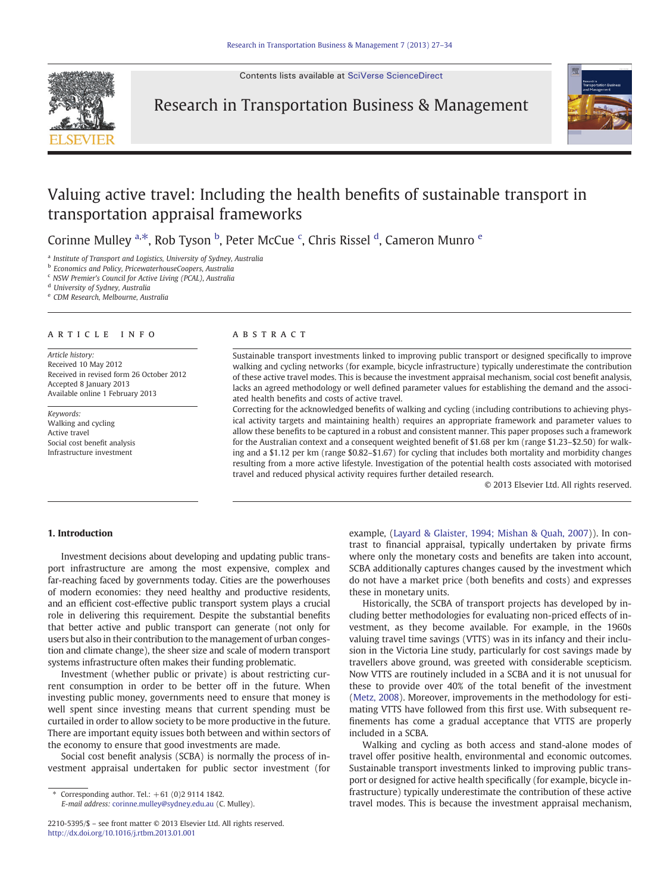Contents lists available at [SciVerse ScienceDirect](http://www.sciencedirect.com/science/journal/)



Research in Transportation Business & Management



## Valuing active travel: Including the health benefits of sustainable transport in transportation appraisal frameworks

Corinne Mulley <sup>a,\*</sup>, Rob Tyson <sup>b</sup>, Peter McCue <sup>c</sup>, Chris Rissel <sup>d</sup>, Cameron Munro <sup>e</sup>

<sup>a</sup> Institute of Transport and Logistics, University of Sydney, Australia

**b** Economics and Policy, PricewaterhouseCoopers, Australia

<sup>c</sup> NSW Premier's Council for Active Living (PCAL), Australia

<sup>d</sup> University of Sydney, Australia

<sup>e</sup> CDM Research, Melbourne, Australia

#### article info abstract

Article history: Received 10 May 2012 Received in revised form 26 October 2012 Accepted 8 January 2013 Available online 1 February 2013

Keywords: Walking and cycling Active travel Social cost benefit analysis Infrastructure investment

Sustainable transport investments linked to improving public transport or designed specifically to improve walking and cycling networks (for example, bicycle infrastructure) typically underestimate the contribution of these active travel modes. This is because the investment appraisal mechanism, social cost benefit analysis, lacks an agreed methodology or well defined parameter values for establishing the demand and the associated health benefits and costs of active travel.

Correcting for the acknowledged benefits of walking and cycling (including contributions to achieving physical activity targets and maintaining health) requires an appropriate framework and parameter values to allow these benefits to be captured in a robust and consistent manner. This paper proposes such a framework for the Australian context and a consequent weighted benefit of \$1.68 per km (range \$1.23–\$2.50) for walking and a \$1.12 per km (range \$0.82–\$1.67) for cycling that includes both mortality and morbidity changes resulting from a more active lifestyle. Investigation of the potential health costs associated with motorised travel and reduced physical activity requires further detailed research.

© 2013 Elsevier Ltd. All rights reserved.

### 1. Introduction

Investment decisions about developing and updating public transport infrastructure are among the most expensive, complex and far-reaching faced by governments today. Cities are the powerhouses of modern economies: they need healthy and productive residents, and an efficient cost-effective public transport system plays a crucial role in delivering this requirement. Despite the substantial benefits that better active and public transport can generate (not only for users but also in their contribution to the management of urban congestion and climate change), the sheer size and scale of modern transport systems infrastructure often makes their funding problematic.

Investment (whether public or private) is about restricting current consumption in order to be better off in the future. When investing public money, governments need to ensure that money is well spent since investing means that current spending must be curtailed in order to allow society to be more productive in the future. There are important equity issues both between and within sectors of the economy to ensure that good investments are made.

Social cost benefit analysis (SCBA) is normally the process of investment appraisal undertaken for public sector investment (for

Corresponding author. Tel.:  $+61$  (0)2 9114 1842. E-mail address: [corinne.mulley@sydney.edu.au](mailto:corinne.mulley@sydney.edu.au) (C. Mulley). example, ([Layard & Glaister, 1994; Mishan & Quah, 2007](#page--1-0))). In contrast to financial appraisal, typically undertaken by private firms where only the monetary costs and benefits are taken into account, SCBA additionally captures changes caused by the investment which do not have a market price (both benefits and costs) and expresses these in monetary units.

Historically, the SCBA of transport projects has developed by including better methodologies for evaluating non-priced effects of investment, as they become available. For example, in the 1960s valuing travel time savings (VTTS) was in its infancy and their inclusion in the Victoria Line study, particularly for cost savings made by travellers above ground, was greeted with considerable scepticism. Now VTTS are routinely included in a SCBA and it is not unusual for these to provide over 40% of the total benefit of the investment [\(Metz, 2008\)](#page--1-0). Moreover, improvements in the methodology for estimating VTTS have followed from this first use. With subsequent refinements has come a gradual acceptance that VTTS are properly included in a SCBA.

Walking and cycling as both access and stand-alone modes of travel offer positive health, environmental and economic outcomes. Sustainable transport investments linked to improving public transport or designed for active health specifically (for example, bicycle infrastructure) typically underestimate the contribution of these active travel modes. This is because the investment appraisal mechanism,

<sup>2210-5395/\$</sup> – see front matter © 2013 Elsevier Ltd. All rights reserved. <http://dx.doi.org/10.1016/j.rtbm.2013.01.001>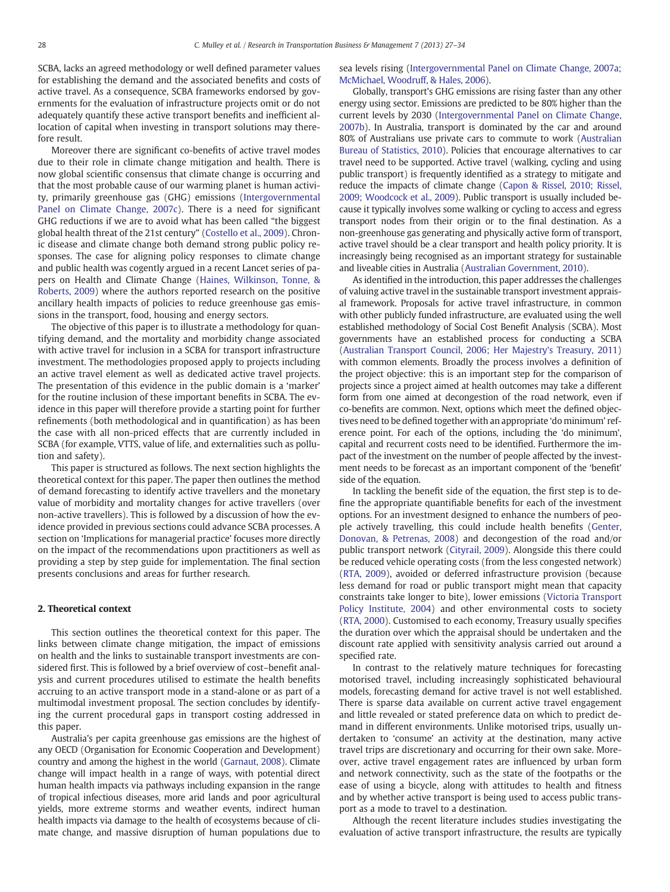SCBA, lacks an agreed methodology or well defined parameter values for establishing the demand and the associated benefits and costs of active travel. As a consequence, SCBA frameworks endorsed by governments for the evaluation of infrastructure projects omit or do not adequately quantify these active transport benefits and inefficient allocation of capital when investing in transport solutions may therefore result.

Moreover there are significant co-benefits of active travel modes due to their role in climate change mitigation and health. There is now global scientific consensus that climate change is occurring and that the most probable cause of our warming planet is human activity, primarily greenhouse gas (GHG) emissions ([Intergovernmental](#page--1-0) [Panel on Climate Change, 2007c\)](#page--1-0). There is a need for significant GHG reductions if we are to avoid what has been called "the biggest global health threat of the 21st century" ([Costello et al., 2009](#page--1-0)). Chronic disease and climate change both demand strong public policy responses. The case for aligning policy responses to climate change and public health was cogently argued in a recent Lancet series of papers on Health and Climate Change ([Haines, Wilkinson, Tonne, &](#page--1-0) [Roberts, 2009](#page--1-0)) where the authors reported research on the positive ancillary health impacts of policies to reduce greenhouse gas emissions in the transport, food, housing and energy sectors.

The objective of this paper is to illustrate a methodology for quantifying demand, and the mortality and morbidity change associated with active travel for inclusion in a SCBA for transport infrastructure investment. The methodologies proposed apply to projects including an active travel element as well as dedicated active travel projects. The presentation of this evidence in the public domain is a 'marker' for the routine inclusion of these important benefits in SCBA. The evidence in this paper will therefore provide a starting point for further refinements (both methodological and in quantification) as has been the case with all non-priced effects that are currently included in SCBA (for example, VTTS, value of life, and externalities such as pollution and safety).

This paper is structured as follows. The next section highlights the theoretical context for this paper. The paper then outlines the method of demand forecasting to identify active travellers and the monetary value of morbidity and mortality changes for active travellers (over non-active travellers). This is followed by a discussion of how the evidence provided in previous sections could advance SCBA processes. A section on 'Implications for managerial practice' focuses more directly on the impact of the recommendations upon practitioners as well as providing a step by step guide for implementation. The final section presents conclusions and areas for further research.

#### 2. Theoretical context

This section outlines the theoretical context for this paper. The links between climate change mitigation, the impact of emissions on health and the links to sustainable transport investments are considered first. This is followed by a brief overview of cost–benefit analysis and current procedures utilised to estimate the health benefits accruing to an active transport mode in a stand-alone or as part of a multimodal investment proposal. The section concludes by identifying the current procedural gaps in transport costing addressed in this paper.

Australia's per capita greenhouse gas emissions are the highest of any OECD (Organisation for Economic Cooperation and Development) country and among the highest in the world [\(Garnaut, 2008](#page--1-0)). Climate change will impact health in a range of ways, with potential direct human health impacts via pathways including expansion in the range of tropical infectious diseases, more arid lands and poor agricultural yields, more extreme storms and weather events, indirect human health impacts via damage to the health of ecosystems because of climate change, and massive disruption of human populations due to

sea levels rising ([Intergovernmental Panel on Climate Change, 2007a;](#page--1-0) [McMichael, Woodruff, & Hales, 2006](#page--1-0)).

Globally, transport's GHG emissions are rising faster than any other energy using sector. Emissions are predicted to be 80% higher than the current levels by 2030 [\(Intergovernmental Panel on Climate Change,](#page--1-0) [2007b](#page--1-0)). In Australia, transport is dominated by the car and around 80% of Australians use private cars to commute to work [\(Australian](#page--1-0) [Bureau of Statistics, 2010](#page--1-0)). Policies that encourage alternatives to car travel need to be supported. Active travel (walking, cycling and using public transport) is frequently identified as a strategy to mitigate and reduce the impacts of climate change [\(Capon & Rissel, 2010; Rissel,](#page--1-0) [2009; Woodcock et al., 2009](#page--1-0)). Public transport is usually included because it typically involves some walking or cycling to access and egress transport nodes from their origin or to the final destination. As a non-greenhouse gas generating and physically active form of transport, active travel should be a clear transport and health policy priority. It is increasingly being recognised as an important strategy for sustainable and liveable cities in Australia [\(Australian Government, 2010](#page--1-0)).

As identified in the introduction, this paper addresses the challenges of valuing active travel in the sustainable transport investment appraisal framework. Proposals for active travel infrastructure, in common with other publicly funded infrastructure, are evaluated using the well established methodology of Social Cost Benefit Analysis (SCBA). Most governments have an established process for conducting a SCBA [\(Australian Transport Council, 2006; Her Majestry's Treasury, 2011](#page--1-0)) with common elements. Broadly the process involves a definition of the project objective: this is an important step for the comparison of projects since a project aimed at health outcomes may take a different form from one aimed at decongestion of the road network, even if co-benefits are common. Next, options which meet the defined objectives need to be defined together with an appropriate 'do minimum' reference point. For each of the options, including the 'do minimum', capital and recurrent costs need to be identified. Furthermore the impact of the investment on the number of people affected by the investment needs to be forecast as an important component of the 'benefit' side of the equation.

In tackling the benefit side of the equation, the first step is to define the appropriate quantifiable benefits for each of the investment options. For an investment designed to enhance the numbers of people actively travelling, this could include health benefits [\(Genter,](#page--1-0) [Donovan, & Petrenas, 2008\)](#page--1-0) and decongestion of the road and/or public transport network ([Cityrail, 2009\)](#page--1-0). Alongside this there could be reduced vehicle operating costs (from the less congested network) [\(RTA, 2009](#page--1-0)), avoided or deferred infrastructure provision (because less demand for road or public transport might mean that capacity constraints take longer to bite), lower emissions ([Victoria Transport](#page--1-0) [Policy Institute, 2004](#page--1-0)) and other environmental costs to society [\(RTA, 2000](#page--1-0)). Customised to each economy, Treasury usually specifies the duration over which the appraisal should be undertaken and the discount rate applied with sensitivity analysis carried out around a specified rate.

In contrast to the relatively mature techniques for forecasting motorised travel, including increasingly sophisticated behavioural models, forecasting demand for active travel is not well established. There is sparse data available on current active travel engagement and little revealed or stated preference data on which to predict demand in different environments. Unlike motorised trips, usually undertaken to 'consume' an activity at the destination, many active travel trips are discretionary and occurring for their own sake. Moreover, active travel engagement rates are influenced by urban form and network connectivity, such as the state of the footpaths or the ease of using a bicycle, along with attitudes to health and fitness and by whether active transport is being used to access public transport as a mode to travel to a destination.

Although the recent literature includes studies investigating the evaluation of active transport infrastructure, the results are typically